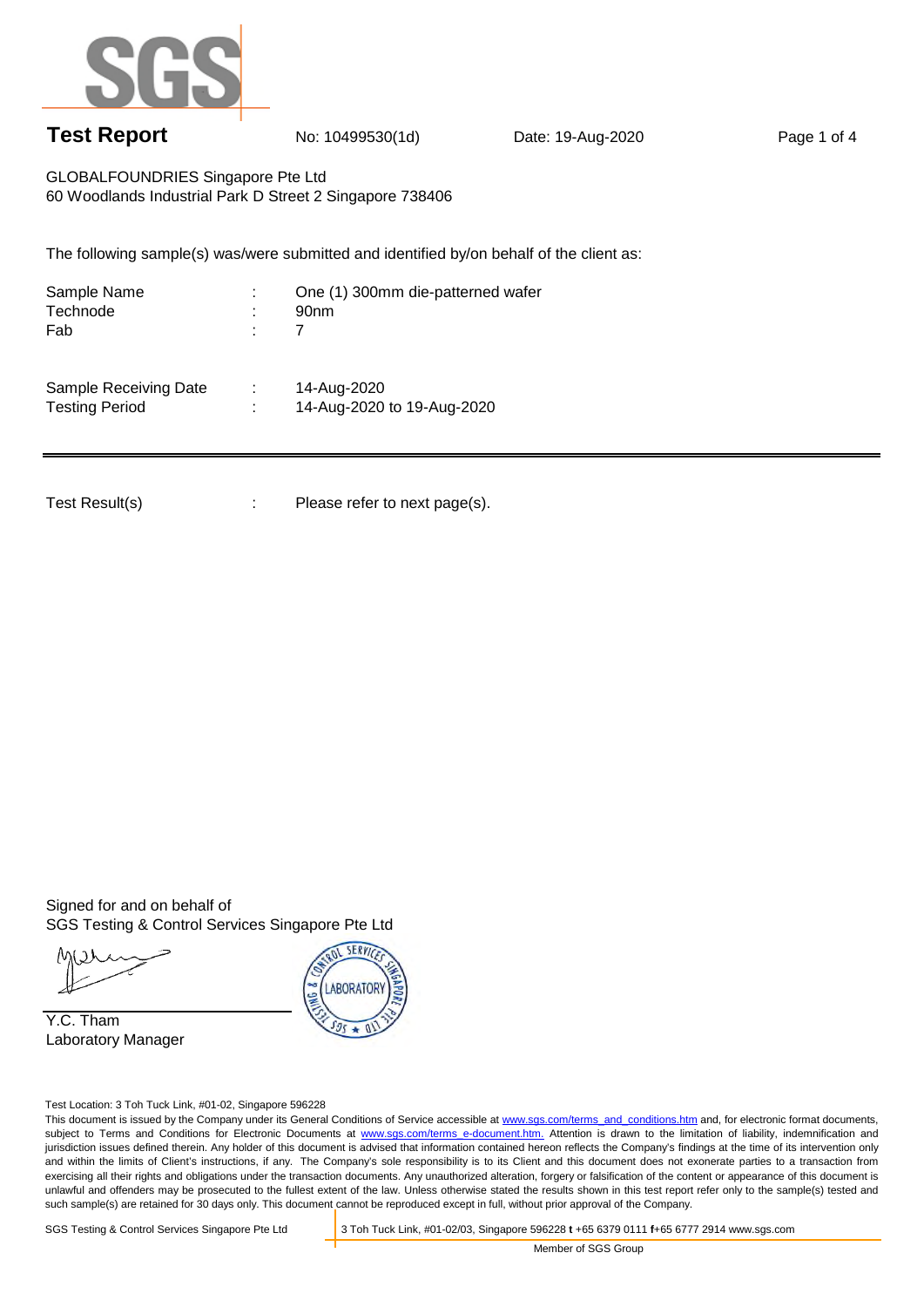

## **Test Report** No: 10499530(1d) Date: 19-Aug-2020 Page 1 of 4

GLOBALFOUNDRIES Singapore Pte Ltd 60 Woodlands Industrial Park D Street 2 Singapore 738406

The following sample(s) was/were submitted and identified by/on behalf of the client as:

| Sample Name<br>Technode<br>Fab                 | ×.<br>٠<br>$\blacksquare$<br>٠ | One (1) 300mm die-patterned wafer<br>90 <sub>nm</sub> |
|------------------------------------------------|--------------------------------|-------------------------------------------------------|
| Sample Receiving Date<br><b>Testing Period</b> | ٠.                             | 14-Aug-2020<br>14-Aug-2020 to 19-Aug-2020             |

Test Result(s) : Please refer to next page(s).

Signed for and on behalf of SGS Testing & Control Services Singapore Pte Ltd

Y.C. Tham Laboratory Manager



Test Location: 3 Toh Tuck Link, #01-02, Singapore 596228

This document is issued by the Company under its General Conditions of Service accessible at www.sgs.com/terms\_and\_conditions.htm and, for electronic format documents, subject to Terms and Conditions for Electronic Documents at www.sgs.com/terms e-document.htm. Attention is drawn to the limitation of liability, indemnification and jurisdiction issues defined therein. Any holder of this document is advised that information contained hereon reflects the Company's findings at the time of its intervention only and within the limits of Client's instructions, if any. The Company's sole responsibility is to its Client and this document does not exonerate parties to a transaction from exercising all their rights and obligations under the transaction documents. Any unauthorized alteration, forgery or falsification of the content or appearance of this document is unlawful and offenders may be prosecuted to the fullest extent of the law. Unless otherwise stated the results shown in this test report refer only to the sample(s) tested and such sample(s) are retained for 30 days only. This document cannot be reproduced except in full, without prior approval of the Company.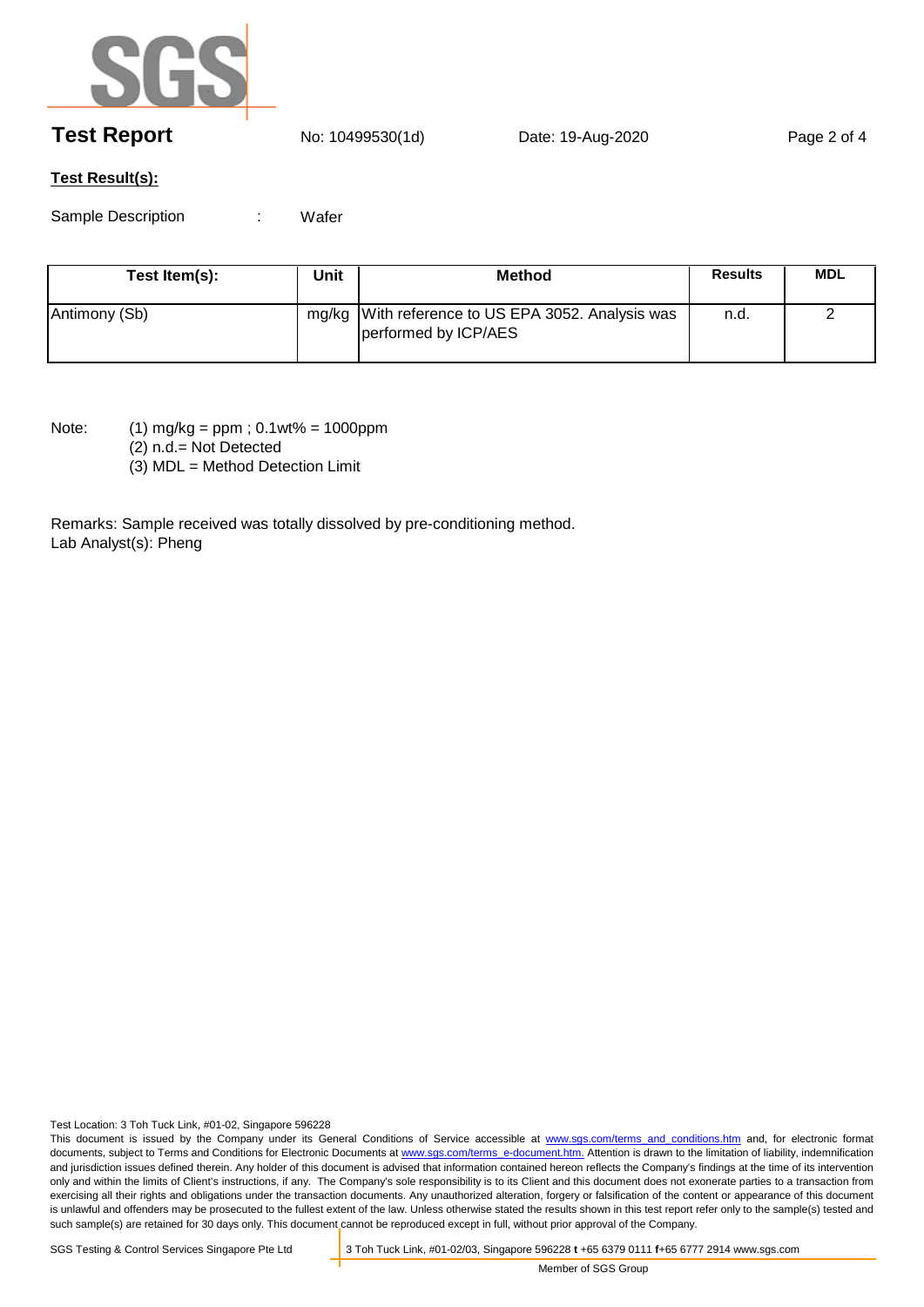

## **Test Report** No: 10499530(1d) Date: 19-Aug-2020 Page 2 of 4

## **Test Result(s):**

Sample Description : **Wafer** 

| Test Item(s): | Unit | <b>Method</b>                                                             | <b>Results</b> | MDL |
|---------------|------|---------------------------------------------------------------------------|----------------|-----|
| Antimony (Sb) |      | mg/kg With reference to US EPA 3052. Analysis was<br>performed by ICP/AES | n.d.           |     |

Note: (1) mg/kg = ppm ; 0.1wt% = 1000ppm

(2) n.d.= Not Detected

(3) MDL = Method Detection Limit

Remarks: Sample received was totally dissolved by pre-conditioning method. Lab Analyst(s): Pheng

Test Location: 3 Toh Tuck Link, #01-02, Singapore 596228

This document is issued by the Company under its General Conditions of Service accessible at www.sgs.com/terms and conditions.htm and, for electronic format documents, subject to Terms and Conditions for Electronic Documents at www.sgs.com/terms\_e-document.htm. Attention is drawn to the limitation of liability, indemnification and jurisdiction issues defined therein. Any holder of this document is advised that information contained hereon reflects the Company's findings at the time of its intervention only and within the limits of Client's instructions, if any. The Company's sole responsibility is to its Client and this document does not exonerate parties to a transaction from exercising all their rights and obligations under the transaction documents. Any unauthorized alteration, forgery or falsification of the content or appearance of this document is unlawful and offenders may be prosecuted to the fullest extent of the law. Unless otherwise stated the results shown in this test report refer only to the sample(s) tested and such sample(s) are retained for 30 days only. This document cannot be reproduced except in full, without prior approval of the Company.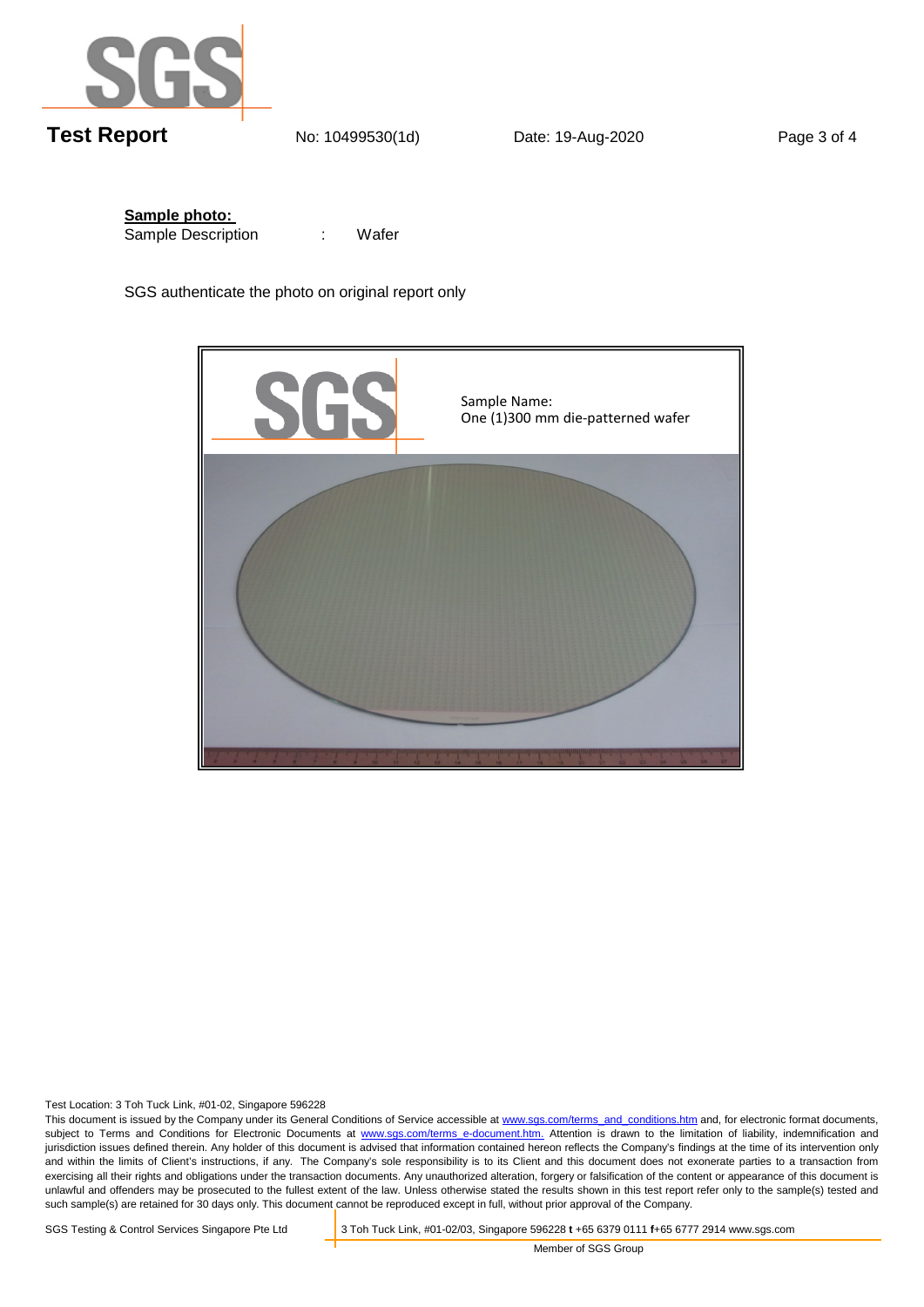

**Sample photo:**  Sample Description :

Wafer

SGS authenticate the photo on original report only



Test Location: 3 Toh Tuck Link, #01-02, Singapore 596228

This document is issued by the Company under its General Conditions of Service accessible at www.sgs.com/terms\_and\_conditions.htm and, for electronic format documents, subject to Terms and Conditions for Electronic Documents at www.sgs.com/terms e-document.htm. Attention is drawn to the limitation of liability, indemnification and jurisdiction issues defined therein. Any holder of this document is advised that information contained hereon reflects the Company's findings at the time of its intervention only and within the limits of Client's instructions, if any. The Company's sole responsibility is to its Client and this document does not exonerate parties to a transaction from exercising all their rights and obligations under the transaction documents. Any unauthorized alteration, forgery or falsification of the content or appearance of this document is unlawful and offenders may be prosecuted to the fullest extent of the law. Unless otherwise stated the results shown in this test report refer only to the sample(s) tested and such sample(s) are retained for 30 days only. This document cannot be reproduced except in full, without prior approval of the Company.